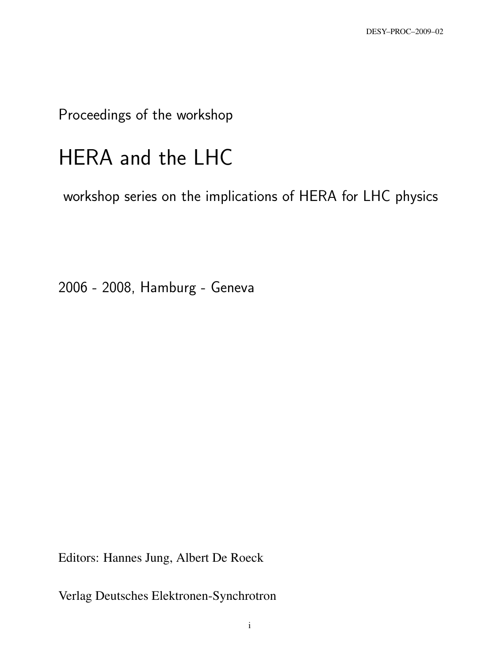Proceedings of the workshop

# HERA and the LHC

workshop series on the implications of HERA for LHC physics

2006 - 2008, Hamburg - Geneva

Editors: Hannes Jung, Albert De Roeck

Verlag Deutsches Elektronen-Synchrotron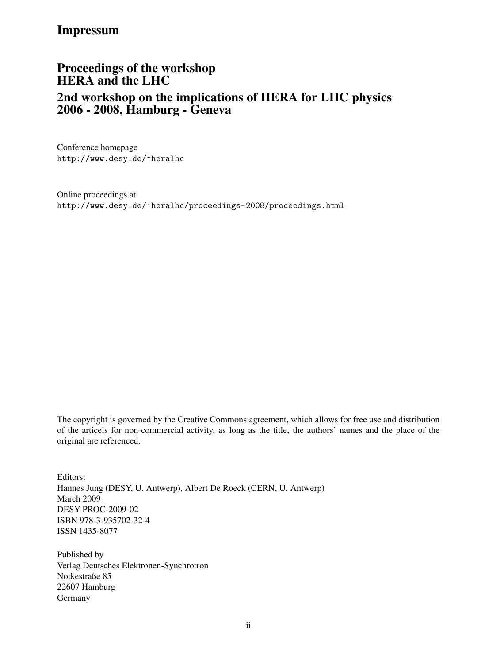### Impressum

# Proceedings of the workshop HERA and the LHC 2nd workshop on the implications of HERA for LHC physics 2006 - 2008, Hamburg - Geneva

Conference homepage http://www.desy.de/~heralhc

Online proceedings at http://www.desy.de/~heralhc/proceedings-2008/proceedings.html

The copyright is governed by the Creative Commons agreement, which allows for free use and distribution of the articels for non-commercial activity, as long as the title, the authors' names and the place of the original are referenced.

Editors: Hannes Jung (DESY, U. Antwerp), Albert De Roeck (CERN, U. Antwerp) March 2009 DESY-PROC-2009-02 ISBN 978-3-935702-32-4 ISSN 1435-8077

Published by Verlag Deutsches Elektronen-Synchrotron Notkestraße 85 22607 Hamburg Germany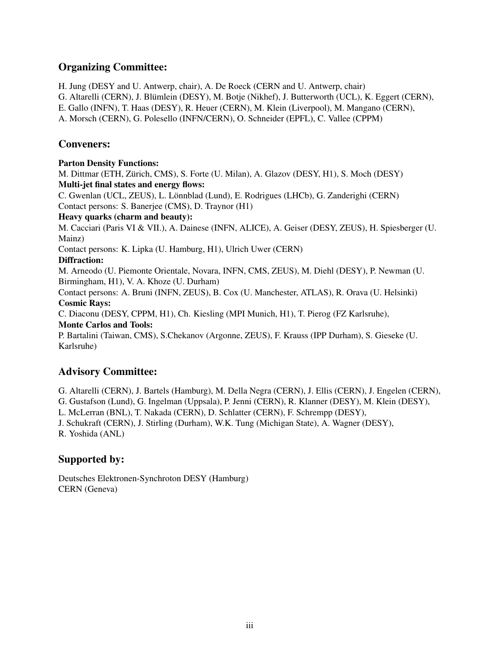#### Organizing Committee:

H. Jung (DESY and U. Antwerp, chair), A. De Roeck (CERN and U. Antwerp, chair) G. Altarelli (CERN), J. Blümlein (DESY), M. Botje (Nikhef), J. Butterworth (UCL), K. Eggert (CERN), E. Gallo (INFN), T. Haas (DESY), R. Heuer (CERN), M. Klein (Liverpool), M. Mangano (CERN),

A. Morsch (CERN), G. Polesello (INFN/CERN), O. Schneider (EPFL), C. Vallee (CPPM)

#### Conveners:

#### Parton Density Functions: M. Dittmar (ETH, Zürich, CMS), S. Forte (U. Milan), A. Glazov (DESY, H1), S. Moch (DESY) Multi-jet final states and energy flows: C. Gwenlan (UCL, ZEUS), L. Lonnblad (Lund), E. Rodrigues (LHCb), G. Zanderighi (CERN) ¨ Contact persons: S. Banerjee (CMS), D. Traynor (H1) Heavy quarks (charm and beauty): M. Cacciari (Paris VI & VII.), A. Dainese (INFN, ALICE), A. Geiser (DESY, ZEUS), H. Spiesberger (U. Mainz) Contact persons: K. Lipka (U. Hamburg, H1), Ulrich Uwer (CERN) Diffraction: M. Arneodo (U. Piemonte Orientale, Novara, INFN, CMS, ZEUS), M. Diehl (DESY), P. Newman (U. Birmingham, H1), V. A. Khoze (U. Durham) Contact persons: A. Bruni (INFN, ZEUS), B. Cox (U. Manchester, ATLAS), R. Orava (U. Helsinki) Cosmic Rays: C. Diaconu (DESY, CPPM, H1), Ch. Kiesling (MPI Munich, H1), T. Pierog (FZ Karlsruhe), Monte Carlos and Tools: P. Bartalini (Taiwan, CMS), S.Chekanov (Argonne, ZEUS), F. Krauss (IPP Durham), S. Gieseke (U. Karlsruhe) Advisory Committee:

G. Altarelli (CERN), J. Bartels (Hamburg), M. Della Negra (CERN), J. Ellis (CERN), J. Engelen (CERN),

G. Gustafson (Lund), G. Ingelman (Uppsala), P. Jenni (CERN), R. Klanner (DESY), M. Klein (DESY),

L. McLerran (BNL), T. Nakada (CERN), D. Schlatter (CERN), F. Schrempp (DESY),

J. Schukraft (CERN), J. Stirling (Durham), W.K. Tung (Michigan State), A. Wagner (DESY),

R. Yoshida (ANL)

#### Supported by:

Deutsches Elektronen-Synchroton DESY (Hamburg) CERN (Geneva)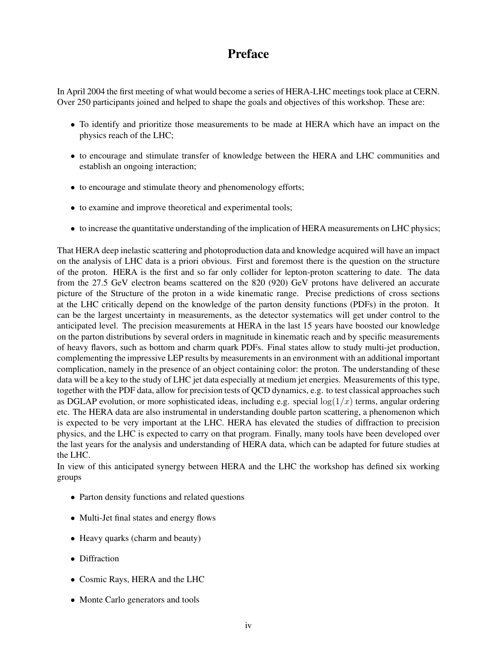## Preface

In April 2004 the first meeting of what would become a series of HERA-LHC meetings took place at CERN. Over 250 participants joined and helped to shape the goals and objectives of this workshop. These are:

- To identify and prioritize those measurements to be made at HERA which have an impact on the physics reach of the LHC;
- to encourage and stimulate transfer of knowledge between the HERA and LHC communities and establish an ongoing interaction;
- to encourage and stimulate theory and phenomenology efforts;
- to examine and improve theoretical and experimental tools;
- to increase the quantitative understanding of the implication of HERA measurements on LHC physics;

That HERA deep inelastic scattering and photoproduction data and knowledge acquired will have an impact on the analysis of LHC data is a priori obvious. First and foremost there is the question on the structure of the proton. HERA is the first and so far only collider for lepton-proton scattering to date. The data from the 27.5 GeV electron beams scattered on the 820 (920) GeV protons have delivered an accurate picture of the Structure of the proton in a wide kinematic range. Precise predictions of cross sections at the LHC critically depend on the knowledge of the parton density functions (PDFs) in the proton. It can be the largest uncertainty in measurements, as the detector systematics will get under control to the anticipated level. The precision measurements at HERA in the last 15 years have boosted our knowledge on the parton distributions by several orders in magnitude in kinematic reach and by specific measurements of heavy flavors, such as bottom and charm quark PDFs. Final states allow to study multi-jet production, complementing the impressive LEP results by measurements in an environment with an additional important complication, namely in the presence of an object containing color: the proton. The understanding of these data will be a key to the study of LHC jet data especially at medium jet energies. Measurements of this type, together with the PDF data, allow for precision tests of QCD dynamics, e.g. to test classical approaches such as DGLAP evolution, or more sophisticated ideas, including e.g. special  $log(1/x)$  terms, angular ordering etc. The HERA data are also instrumental in understanding double parton scattering, a phenomenon which is expected to be very important at the LHC. HERA has elevated the studies of diffraction to precision physics, and the LHC is expected to carry on that program. Finally, many tools have been developed over the last years for the analysis and understanding of HERA data, which can be adapted for future studies at the LHC.

In view of this anticipated synergy between HERA and the LHC the workshop has defined six working groups

- Parton density functions and related questions
- Multi-Jet final states and energy flows
- Heavy quarks (charm and beauty)
- Diffraction
- Cosmic Rays, HERA and the LHC
- Monte Carlo generators and tools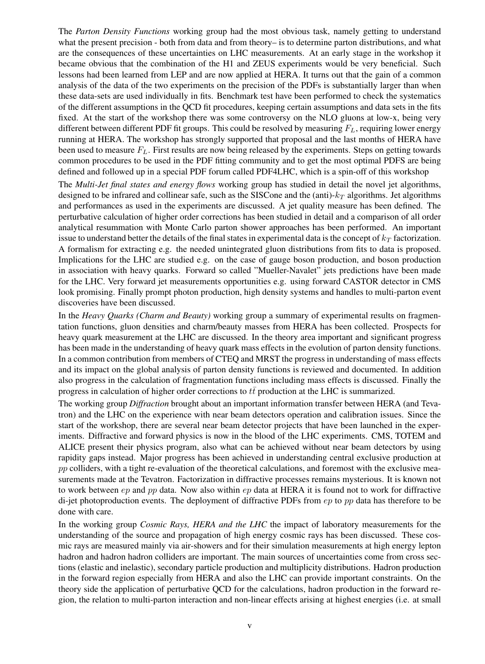The *Parton Density Functions* working group had the most obvious task, namely getting to understand what the present precision - both from data and from theory– is to determine parton distributions, and what are the consequences of these uncertainties on LHC measurements. At an early stage in the workshop it became obvious that the combination of the H1 and ZEUS experiments would be very beneficial. Such lessons had been learned from LEP and are now applied at HERA. It turns out that the gain of a common analysis of the data of the two experiments on the precision of the PDFs is substantially larger than when these data-sets are used individually in fits. Benchmark test have been performed to check the systematics of the different assumptions in the QCD fit procedures, keeping certain assumptions and data sets in the fits fixed. At the start of the workshop there was some controversy on the NLO gluons at low-x, being very different between different PDF fit groups. This could be resolved by measuring  $F_L$ , requiring lower energy running at HERA. The workshop has strongly supported that proposal and the last months of HERA have been used to measure  $F<sub>L</sub>$ . First results are now being released by the experiments. Steps on getting towards common procedures to be used in the PDF fitting community and to get the most optimal PDFS are being defined and followed up in a special PDF forum called PDF4LHC, which is a spin-off of this workshop

The *Multi-Jet final states and energy flows* working group has studied in detail the novel jet algorithms, designed to be infrared and collinear safe, such as the SISCone and the (anti)- $k_T$  algorithms. Jet algorithms and performances as used in the experiments are discussed. A jet quality measure has been defined. The perturbative calculation of higher order corrections has been studied in detail and a comparison of all order analytical resummation with Monte Carlo parton shower approaches has been performed. An important issue to understand better the details of the final states in experimental data is the concept of  $k_T$  factorization. A formalism for extracting e.g. the needed unintegrated gluon distributions from fits to data is proposed. Implications for the LHC are studied e.g. on the case of gauge boson production, and boson production in association with heavy quarks. Forward so called "Mueller-Navalet" jets predictions have been made for the LHC. Very forward jet measurements opportunities e.g. using forward CASTOR detector in CMS look promising. Finally prompt photon production, high density systems and handles to multi-parton event discoveries have been discussed.

In the *Heavy Quarks (Charm and Beauty)* working group a summary of experimental results on fragmentation functions, gluon densities and charm/beauty masses from HERA has been collected. Prospects for heavy quark measurement at the LHC are discussed. In the theory area important and significant progress has been made in the understanding of heavy quark mass effects in the evolution of parton density functions. In a common contribution from members of CTEQ and MRST the progress in understanding of mass effects and its impact on the global analysis of parton density functions is reviewed and documented. In addition also progress in the calculation of fragmentation functions including mass effects is discussed. Finally the progress in calculation of higher order corrections to  $t\bar{t}$  production at the LHC is summarized.

The working group *Diffraction* brought about an important information transfer between HERA (and Tevatron) and the LHC on the experience with near beam detectors operation and calibration issues. Since the start of the workshop, there are several near beam detector projects that have been launched in the experiments. Diffractive and forward physics is now in the blood of the LHC experiments. CMS, TOTEM and ALICE present their physics program, also what can be achieved without near beam detectors by using rapidity gaps instead. Major progress has been achieved in understanding central exclusive production at pp colliders, with a tight re-evaluation of the theoretical calculations, and foremost with the exclusive measurements made at the Tevatron. Factorization in diffractive processes remains mysterious. It is known not to work between  $ep$  and  $pp$  data. Now also within  $ep$  data at HERA it is found not to work for diffractive di-jet photoproduction events. The deployment of diffractive PDFs from  $ep$  to  $pp$  data has therefore to be done with care.

In the working group *Cosmic Rays, HERA and the LHC* the impact of laboratory measurements for the understanding of the source and propagation of high energy cosmic rays has been discussed. These cosmic rays are measured mainly via air-showers and for their simulation measurements at high energy lepton hadron and hadron hadron colliders are important. The main sources of uncertainties come from cross sections (elastic and inelastic), secondary particle production and multiplicity distributions. Hadron production in the forward region especially from HERA and also the LHC can provide important constraints. On the theory side the application of perturbative QCD for the calculations, hadron production in the forward region, the relation to multi-parton interaction and non-linear effects arising at highest energies (i.e. at small